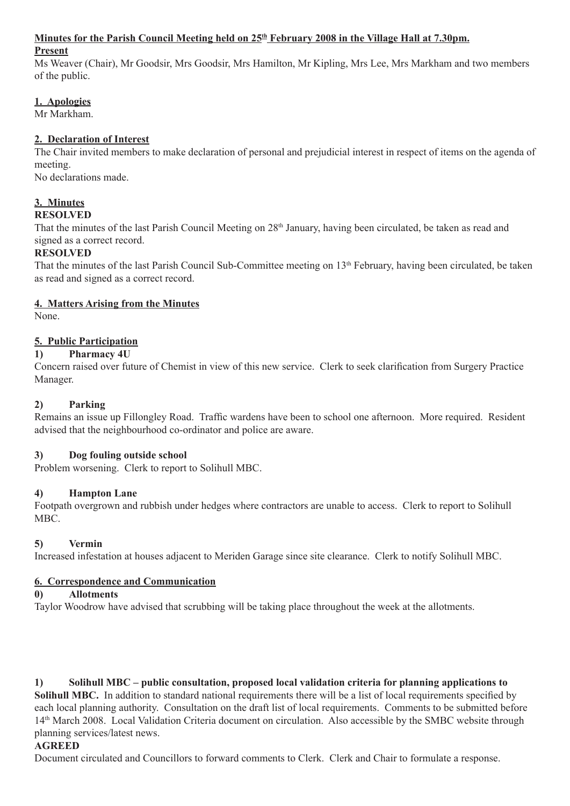#### Minutes for the Parish Council Meeting held on 25<sup>th</sup> February 2008 in the Village Hall at 7.30pm.

#### **Present**

Ms Weaver (Chair), Mr Goodsir, Mrs Goodsir, Mrs Hamilton, Mr Kipling, Mrs Lee, Mrs Markham and two members of the public.

## **1. Apologies**

Mr Markham.

## **2. Declaration of Interest**

The Chair invited members to make declaration of personal and prejudicial interest in respect of items on the agenda of meeting.

No declarations made.

# **3. Minutes**

## **RESOLVED**

That the minutes of the last Parish Council Meeting on 28<sup>th</sup> January, having been circulated, be taken as read and signed as a correct record.

## **RESOLVED**

That the minutes of the last Parish Council Sub-Committee meeting on 13<sup>th</sup> February, having been circulated, be taken as read and signed as a correct record.

#### **4. Matters Arising from the Minutes**

None.

## **5. Public Participation**

#### **1) Pharmacy 4U**

Concern raised over future of Chemist in view of this new service. Clerk to seek clarification from Surgery Practice Manager.

#### **2) Parking**

Remains an issue up Fillongley Road. Traffic wardens have been to school one afternoon. More required. Resident advised that the neighbourhood co-ordinator and police are aware.

#### **3) Dog fouling outside school**

Problem worsening. Clerk to report to Solihull MBC.

#### **4) Hampton Lane**

Footpath overgrown and rubbish under hedges where contractors are unable to access. Clerk to report to Solihull MBC.

## **5) Vermin**

Increased infestation at houses adjacent to Meriden Garage since site clearance. Clerk to notify Solihull MBC.

#### **6. Correspondence and Communication**

#### **0) Allotments**

Taylor Woodrow have advised that scrubbing will be taking place throughout the week at the allotments.

## **1) Solihull MBC – public consultation, proposed local validation criteria for planning applications to**

**Solihull MBC.** In addition to standard national requirements there will be a list of local requirements specified by each local planning authority. Consultation on the draft list of local requirements. Comments to be submitted before 14th March 2008. Local Validation Criteria document on circulation. Also accessible by the SMBC website through planning services/latest news.

#### **AGREED**

Document circulated and Councillors to forward comments to Clerk. Clerk and Chair to formulate a response.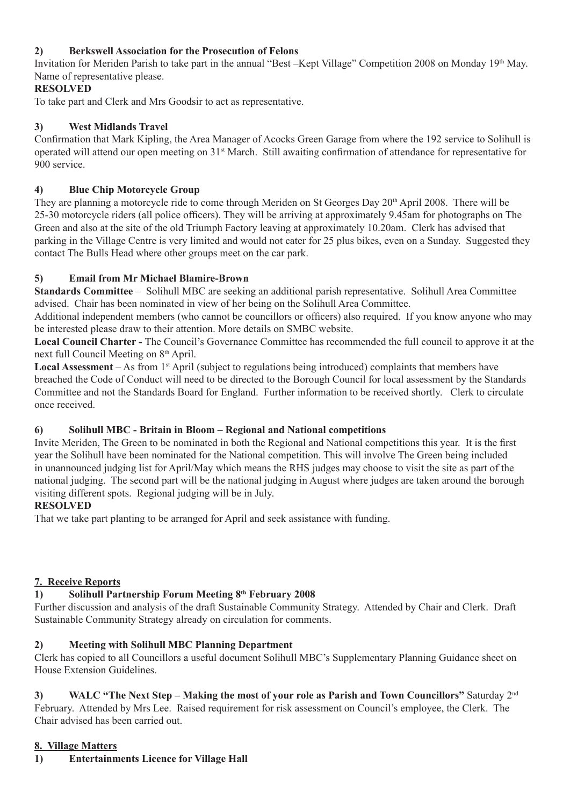## **2) Berkswell Association for the Prosecution of Felons**

Invitation for Meriden Parish to take part in the annual "Best –Kept Village" Competition 2008 on Monday 19th May. Name of representative please.

## **RESOLVED**

To take part and Clerk and Mrs Goodsir to act as representative.

## **3) West Midlands Travel**

Confirmation that Mark Kipling, the Area Manager of Acocks Green Garage from where the 192 service to Solihull is operated will attend our open meeting on 31st March. Still awaiting confirmation of attendance for representative for 900 service.

## **4) Blue Chip Motorcycle Group**

They are planning a motorcycle ride to come through Meriden on St Georges Day 20<sup>th</sup> April 2008. There will be 25-30 motorcycle riders (all police officers). They will be arriving at approximately 9.45am for photographs on The Green and also at the site of the old Triumph Factory leaving at approximately 10.20am. Clerk has advised that parking in the Village Centre is very limited and would not cater for 25 plus bikes, even on a Sunday. Suggested they contact The Bulls Head where other groups meet on the car park.

## **5) Email from Mr Michael Blamire-Brown**

**Standards Committee** – Solihull MBC are seeking an additional parish representative. Solihull Area Committee advised. Chair has been nominated in view of her being on the Solihull Area Committee.

Additional independent members (who cannot be councillors or officers) also required. If you know anyone who may be interested please draw to their attention. More details on SMBC website.

**Local Council Charter -** The Council's Governance Committee has recommended the full council to approve it at the next full Council Meeting on 8<sup>th</sup> April.

Local Assessment – As from 1<sup>st</sup> April (subject to regulations being introduced) complaints that members have breached the Code of Conduct will need to be directed to the Borough Council for local assessment by the Standards Committee and not the Standards Board for England. Further information to be received shortly. Clerk to circulate once received.

## **6) Solihull MBC - Britain in Bloom – Regional and National competitions**

Invite Meriden, The Green to be nominated in both the Regional and National competitions this year. It is the first year the Solihull have been nominated for the National competition. This will involve The Green being included in unannounced judging list for April/May which means the RHS judges may choose to visit the site as part of the national judging. The second part will be the national judging in August where judges are taken around the borough visiting different spots. Regional judging will be in July.

## **RESOLVED**

That we take part planting to be arranged for April and seek assistance with funding.

## **7. Receive Reports**

## **1) Solihull Partnership Forum Meeting 8th February 2008**

Further discussion and analysis of the draft Sustainable Community Strategy. Attended by Chair and Clerk. Draft Sustainable Community Strategy already on circulation for comments.

## **2) Meeting with Solihull MBC Planning Department**

Clerk has copied to all Councillors a useful document Solihull MBC's Supplementary Planning Guidance sheet on House Extension Guidelines.

**3) WALC "The Next Step – Making the most of your role as Parish and Town Councillors"** Saturday 2nd February. Attended by Mrs Lee. Raised requirement for risk assessment on Council's employee, the Clerk. The Chair advised has been carried out.

## **8. Village Matters**

**1) Entertainments Licence for Village Hall**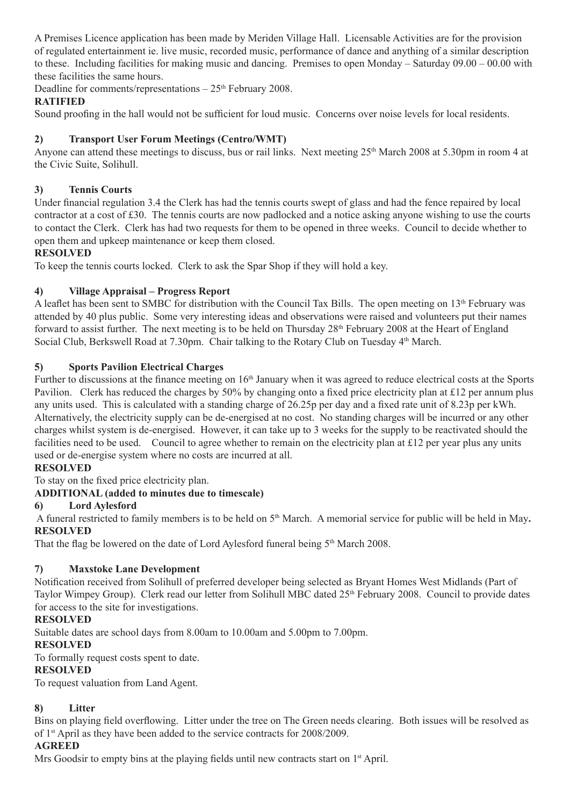A Premises Licence application has been made by Meriden Village Hall. Licensable Activities are for the provision of regulated entertainment ie. live music, recorded music, performance of dance and anything of a similar description to these. Including facilities for making music and dancing. Premises to open Monday – Saturday 09.00 – 00.00 with these facilities the same hours.

Deadline for comments/representations  $-25<sup>th</sup>$  February 2008.

#### **RATIFIED**

Sound proofing in the hall would not be sufficient for loud music. Concerns over noise levels for local residents.

## **2) Transport User Forum Meetings (Centro/WMT)**

Anyone can attend these meetings to discuss, bus or rail links. Next meeting 25<sup>th</sup> March 2008 at 5.30pm in room 4 at the Civic Suite, Solihull.

### **3) Tennis Courts**

Under financial regulation 3.4 the Clerk has had the tennis courts swept of glass and had the fence repaired by local contractor at a cost of £30. The tennis courts are now padlocked and a notice asking anyone wishing to use the courts to contact the Clerk. Clerk has had two requests for them to be opened in three weeks. Council to decide whether to open them and upkeep maintenance or keep them closed.

#### **RESOLVED**

To keep the tennis courts locked. Clerk to ask the Spar Shop if they will hold a key.

#### **4) Village Appraisal – Progress Report**

A leaflet has been sent to SMBC for distribution with the Council Tax Bills. The open meeting on 13<sup>th</sup> February was attended by 40 plus public. Some very interesting ideas and observations were raised and volunteers put their names forward to assist further. The next meeting is to be held on Thursday 28th February 2008 at the Heart of England Social Club, Berkswell Road at 7.30pm. Chair talking to the Rotary Club on Tuesday 4th March.

#### **5) Sports Pavilion Electrical Charges**

Further to discussions at the finance meeting on 16<sup>th</sup> January when it was agreed to reduce electrical costs at the Sports Pavilion. Clerk has reduced the charges by 50% by changing onto a fixed price electricity plan at £12 per annum plus any units used. This is calculated with a standing charge of 26.25p per day and a fixed rate unit of 8.23p per kWh. Alternatively, the electricity supply can be de-energised at no cost. No standing charges will be incurred or any other charges whilst system is de-energised. However, it can take up to 3 weeks for the supply to be reactivated should the facilities need to be used. Council to agree whether to remain on the electricity plan at £12 per year plus any units used or de-energise system where no costs are incurred at all.

## **RESOLVED**

To stay on the fixed price electricity plan.

#### **ADDITIONAL (added to minutes due to timescale)**

#### **6) Lord Aylesford**

 A funeral restricted to family members is to be held on 5th March. A memorial service for public will be held in May**. RESOLVED**

That the flag be lowered on the date of Lord Aylesford funeral being  $5<sup>th</sup>$  March 2008.

#### **7) Maxstoke Lane Development**

Notification received from Solihull of preferred developer being selected as Bryant Homes West Midlands (Part of Taylor Wimpey Group). Clerk read our letter from Solihull MBC dated 25<sup>th</sup> February 2008. Council to provide dates for access to the site for investigations.

#### **RESOLVED**

Suitable dates are school days from 8.00am to 10.00am and 5.00pm to 7.00pm.

#### **RESOLVED**

To formally request costs spent to date.

#### **RESOLVED**

To request valuation from Land Agent.

## **8) Litter**

Bins on playing field overflowing. Litter under the tree on The Green needs clearing. Both issues will be resolved as of 1st April as they have been added to the service contracts for 2008/2009.

#### **AGREED**

Mrs Goodsir to empty bins at the playing fields until new contracts start on 1<sup>st</sup> April.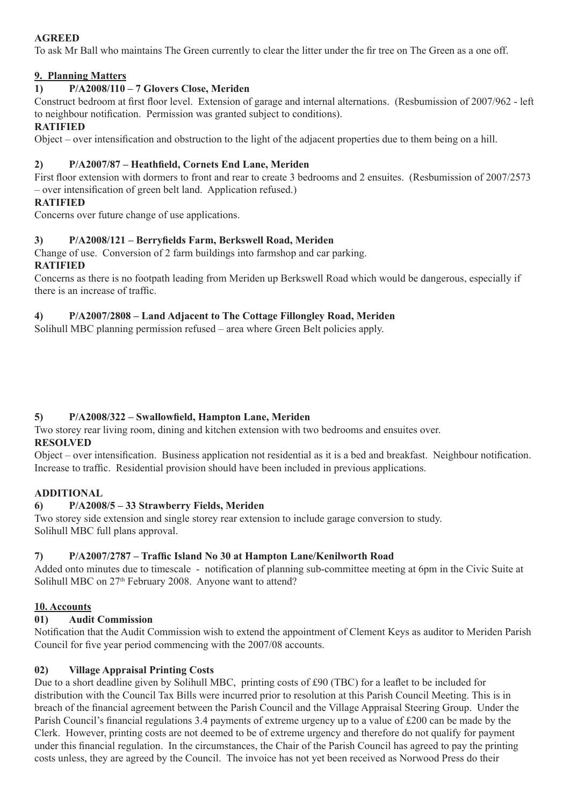## **AGREED**

To ask Mr Ball who maintains The Green currently to clear the litter under the fir tree on The Green as a one off.

### **9. Planning Matters**

#### **1) P/A2008/110 – 7 Glovers Close, Meriden**

Construct bedroom at first floor level. Extension of garage and internal alternations. (Resbumission of 2007/962 - left to neighbour notification. Permission was granted subject to conditions).

#### **RATIFIED**

Object – over intensification and obstruction to the light of the adjacent properties due to them being on a hill.

### **2) P/A2007/87 – Heathfield, Cornets End Lane, Meriden**

First floor extension with dormers to front and rear to create 3 bedrooms and 2 ensuites. (Resbumission of 2007/2573 – over intensification of green belt land. Application refused.)

#### **RATIFIED**

Concerns over future change of use applications.

#### **3) P/A2008/121 – Berryfields Farm, Berkswell Road, Meriden**

Change of use. Conversion of 2 farm buildings into farmshop and car parking. **RATIFIED**

#### Concerns as there is no footpath leading from Meriden up Berkswell Road which would be dangerous, especially if there is an increase of traffic.

## **4) P/A2007/2808 – Land Adjacent to The Cottage Fillongley Road, Meriden**

Solihull MBC planning permission refused – area where Green Belt policies apply.

## **5) P/A2008/322 – Swallowfield, Hampton Lane, Meriden**

Two storey rear living room, dining and kitchen extension with two bedrooms and ensuites over. **RESOLVED**

Object – over intensification. Business application not residential as it is a bed and breakfast. Neighbour notification. Increase to traffic. Residential provision should have been included in previous applications.

#### **ADDITIONAL**

## **6) P/A2008/5 – 33 Strawberry Fields, Meriden**

Two storey side extension and single storey rear extension to include garage conversion to study. Solihull MBC full plans approval.

## **7) P/A2007/2787 – Traffic Island No 30 at Hampton Lane/Kenilworth Road**

Added onto minutes due to timescale - notification of planning sub-committee meeting at 6pm in the Civic Suite at Solihull MBC on 27<sup>th</sup> February 2008. Anyone want to attend?

#### **10. Accounts**

## **01) Audit Commission**

Notification that the Audit Commission wish to extend the appointment of Clement Keys as auditor to Meriden Parish Council for five year period commencing with the 2007/08 accounts.

#### **02) Village Appraisal Printing Costs**

Due to a short deadline given by Solihull MBC, printing costs of £90 (TBC) for a leaflet to be included for distribution with the Council Tax Bills were incurred prior to resolution at this Parish Council Meeting. This is in breach of the financial agreement between the Parish Council and the Village Appraisal Steering Group. Under the Parish Council's financial regulations 3.4 payments of extreme urgency up to a value of £200 can be made by the Clerk. However, printing costs are not deemed to be of extreme urgency and therefore do not qualify for payment under this financial regulation. In the circumstances, the Chair of the Parish Council has agreed to pay the printing costs unless, they are agreed by the Council. The invoice has not yet been received as Norwood Press do their